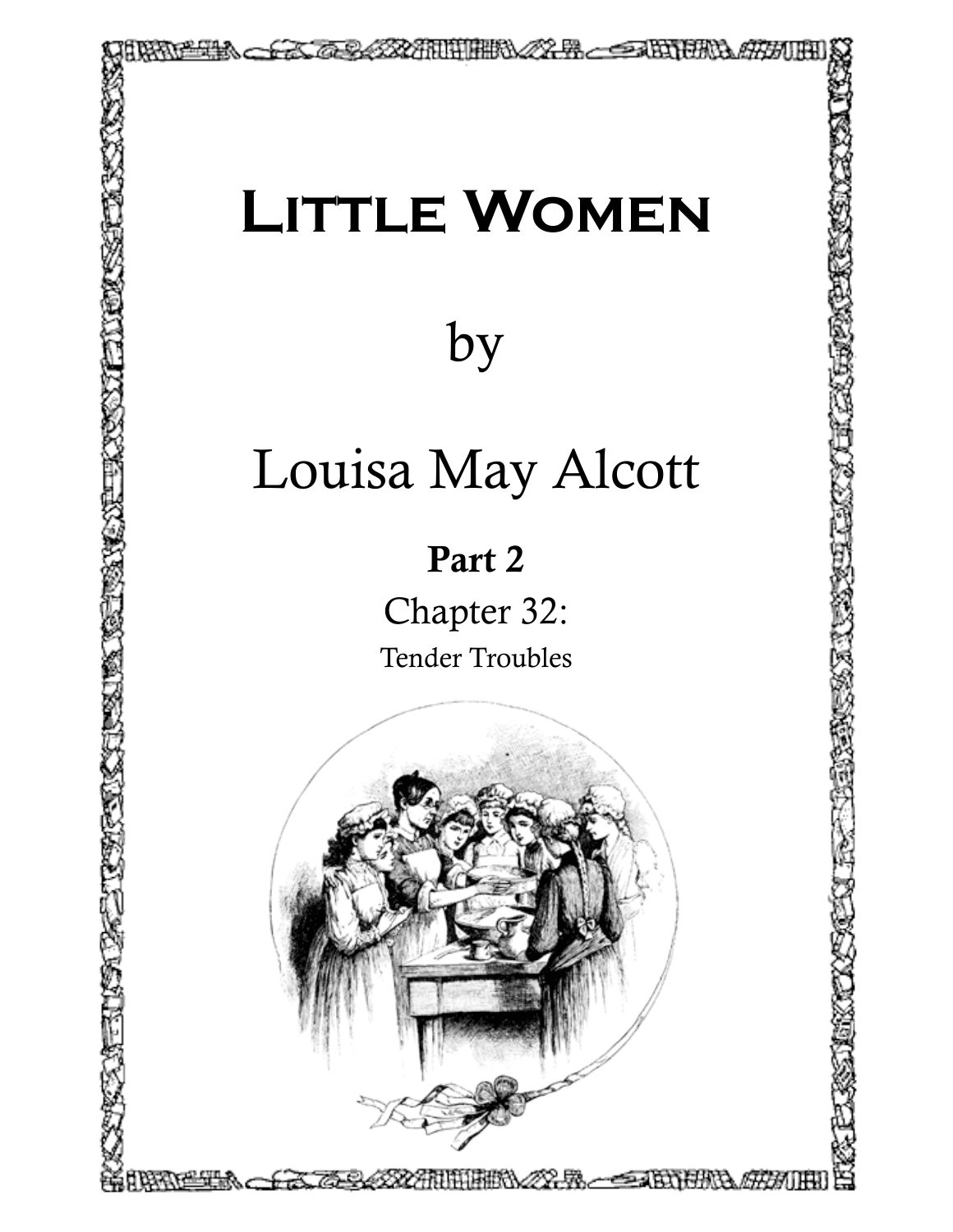## **Little Women**

TTERS 22-8 - STORETS AT ATT

## by

## Louisa May Alcott

## Part 2

Chapter 32: Tender Troubles

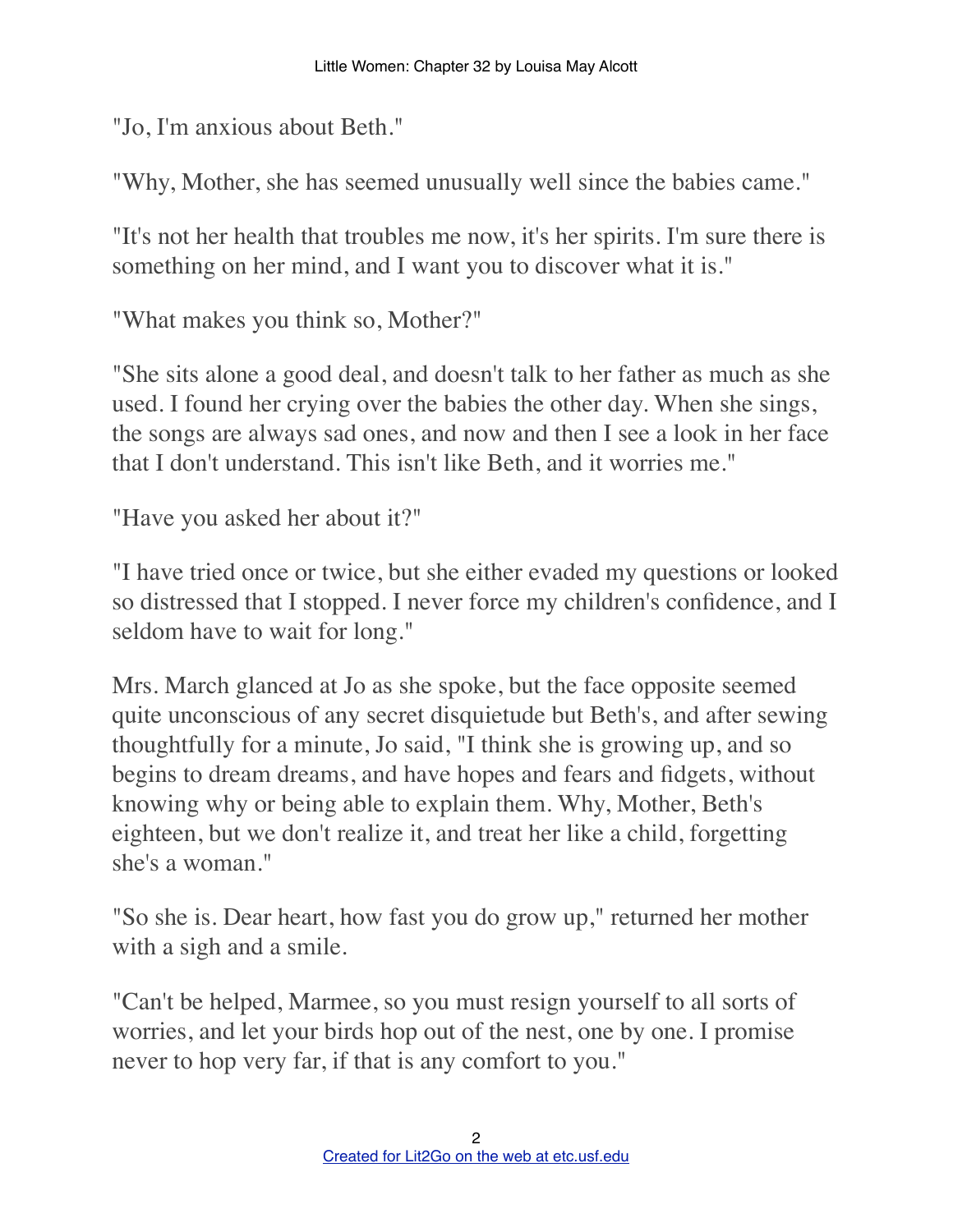"Jo, I'm anxious about Beth."

"Why, Mother, she has seemed unusually well since the babies came."

"It's not her health that troubles me now, it's her spirits. I'm sure there is something on her mind, and I want you to discover what it is."

"What makes you think so, Mother?"

"She sits alone a good deal, and doesn't talk to her father as much as she used. I found her crying over the babies the other day. When she sings, the songs are always sad ones, and now and then I see a look in her face that I don't understand. This isn't like Beth, and it worries me."

"Have you asked her about it?"

"I have tried once or twice, but she either evaded my questions or looked so distressed that I stopped. I never force my children's confidence, and I seldom have to wait for long."

Mrs. March glanced at Jo as she spoke, but the face opposite seemed quite unconscious of any secret disquietude but Beth's, and after sewing thoughtfully for a minute, Jo said, "I think she is growing up, and so begins to dream dreams, and have hopes and fears and fidgets, without knowing why or being able to explain them. Why, Mother, Beth's eighteen, but we don't realize it, and treat her like a child, forgetting she's a woman."

"So she is. Dear heart, how fast you do grow up," returned her mother with a sigh and a smile.

"Can't be helped, Marmee, so you must resign yourself to all sorts of worries, and let your birds hop out of the nest, one by one. I promise never to hop very far, if that is any comfort to you."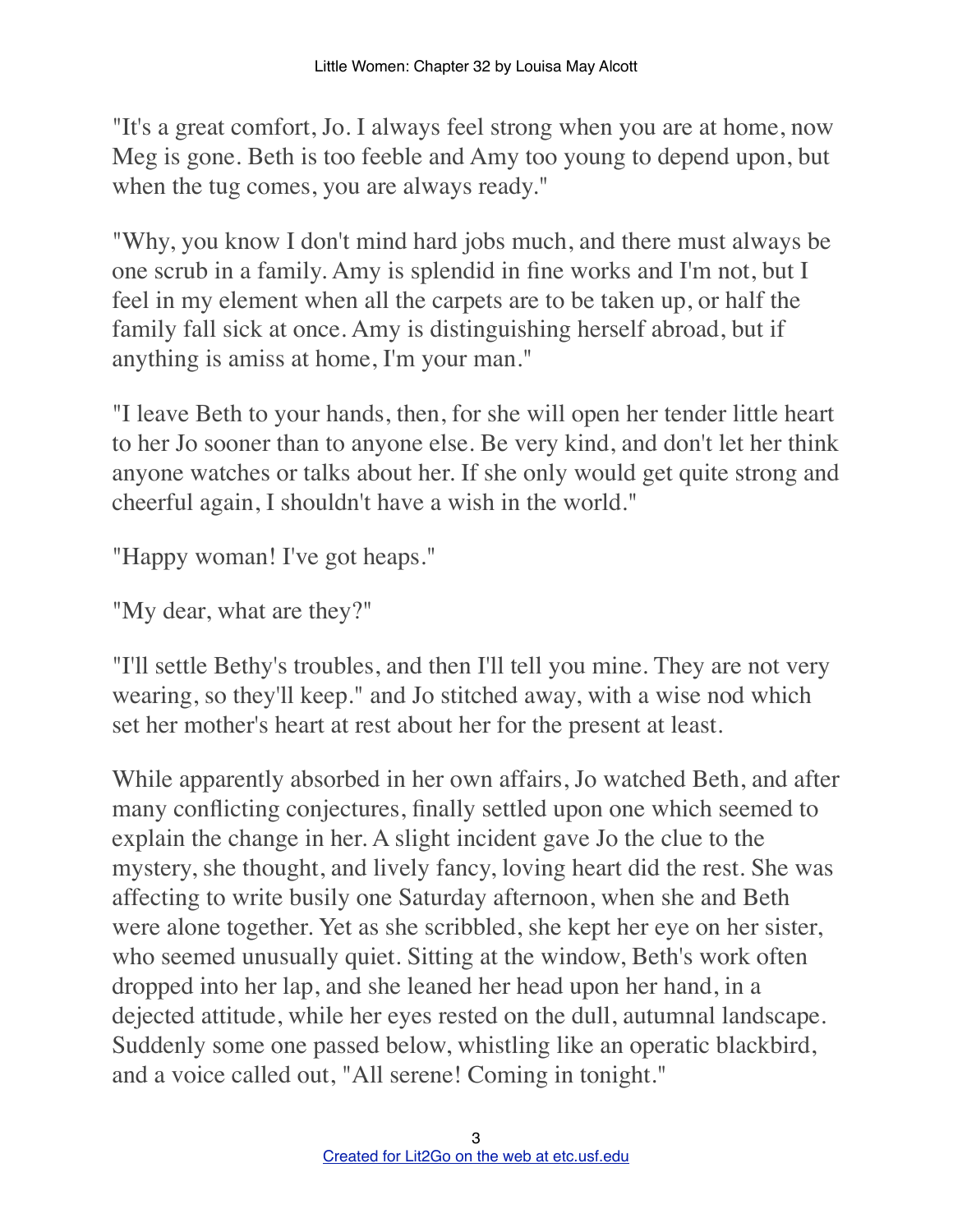"It's a great comfort, Jo. I always feel strong when you are at home, now Meg is gone. Beth is too feeble and Amy too young to depend upon, but when the tug comes, you are always ready."

"Why, you know I don't mind hard jobs much, and there must always be one scrub in a family. Amy is splendid in fine works and I'm not, but I feel in my element when all the carpets are to be taken up, or half the family fall sick at once. Amy is distinguishing herself abroad, but if anything is amiss at home, I'm your man."

"I leave Beth to your hands, then, for she will open her tender little heart to her Jo sooner than to anyone else. Be very kind, and don't let her think anyone watches or talks about her. If she only would get quite strong and cheerful again, I shouldn't have a wish in the world."

"Happy woman! I've got heaps."

"My dear, what are they?"

"I'll settle Bethy's troubles, and then I'll tell you mine. They are not very wearing, so they'll keep." and Jo stitched away, with a wise nod which set her mother's heart at rest about her for the present at least.

While apparently absorbed in her own affairs, Jo watched Beth, and after many conflicting conjectures, finally settled upon one which seemed to explain the change in her. A slight incident gave Jo the clue to the mystery, she thought, and lively fancy, loving heart did the rest. She was affecting to write busily one Saturday afternoon, when she and Beth were alone together. Yet as she scribbled, she kept her eye on her sister, who seemed unusually quiet. Sitting at the window, Beth's work often dropped into her lap, and she leaned her head upon her hand, in a dejected attitude, while her eyes rested on the dull, autumnal landscape. Suddenly some one passed below, whistling like an operatic blackbird, and a voice called out, "All serene! Coming in tonight."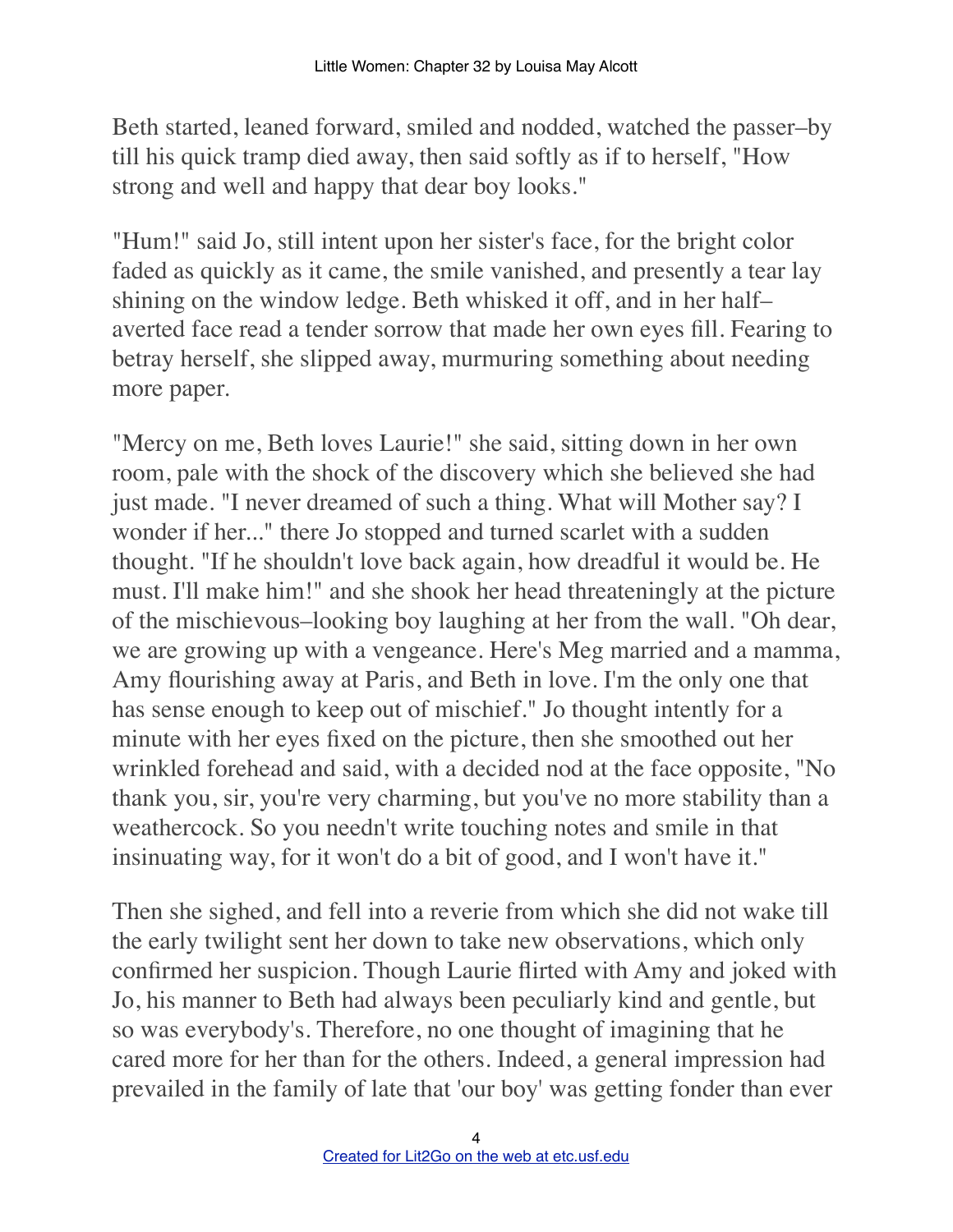Beth started, leaned forward, smiled and nodded, watched the passer–by till his quick tramp died away, then said softly as if to herself, "How strong and well and happy that dear boy looks."

"Hum!" said Jo, still intent upon her sister's face, for the bright color faded as quickly as it came, the smile vanished, and presently a tear lay shining on the window ledge. Beth whisked it off, and in her half– averted face read a tender sorrow that made her own eyes fill. Fearing to betray herself, she slipped away, murmuring something about needing more paper.

"Mercy on me, Beth loves Laurie!" she said, sitting down in her own room, pale with the shock of the discovery which she believed she had just made. "I never dreamed of such a thing. What will Mother say? I wonder if her..." there Jo stopped and turned scarlet with a sudden thought. "If he shouldn't love back again, how dreadful it would be. He must. I'll make him!" and she shook her head threateningly at the picture of the mischievous–looking boy laughing at her from the wall. "Oh dear, we are growing up with a vengeance. Here's Meg married and a mamma, Amy flourishing away at Paris, and Beth in love. I'm the only one that has sense enough to keep out of mischief." Jo thought intently for a minute with her eyes fixed on the picture, then she smoothed out her wrinkled forehead and said, with a decided nod at the face opposite, "No thank you, sir, you're very charming, but you've no more stability than a weathercock. So you needn't write touching notes and smile in that insinuating way, for it won't do a bit of good, and I won't have it."

Then she sighed, and fell into a reverie from which she did not wake till the early twilight sent her down to take new observations, which only confirmed her suspicion. Though Laurie flirted with Amy and joked with Jo, his manner to Beth had always been peculiarly kind and gentle, but so was everybody's. Therefore, no one thought of imagining that he cared more for her than for the others. Indeed, a general impression had prevailed in the family of late that 'our boy' was getting fonder than ever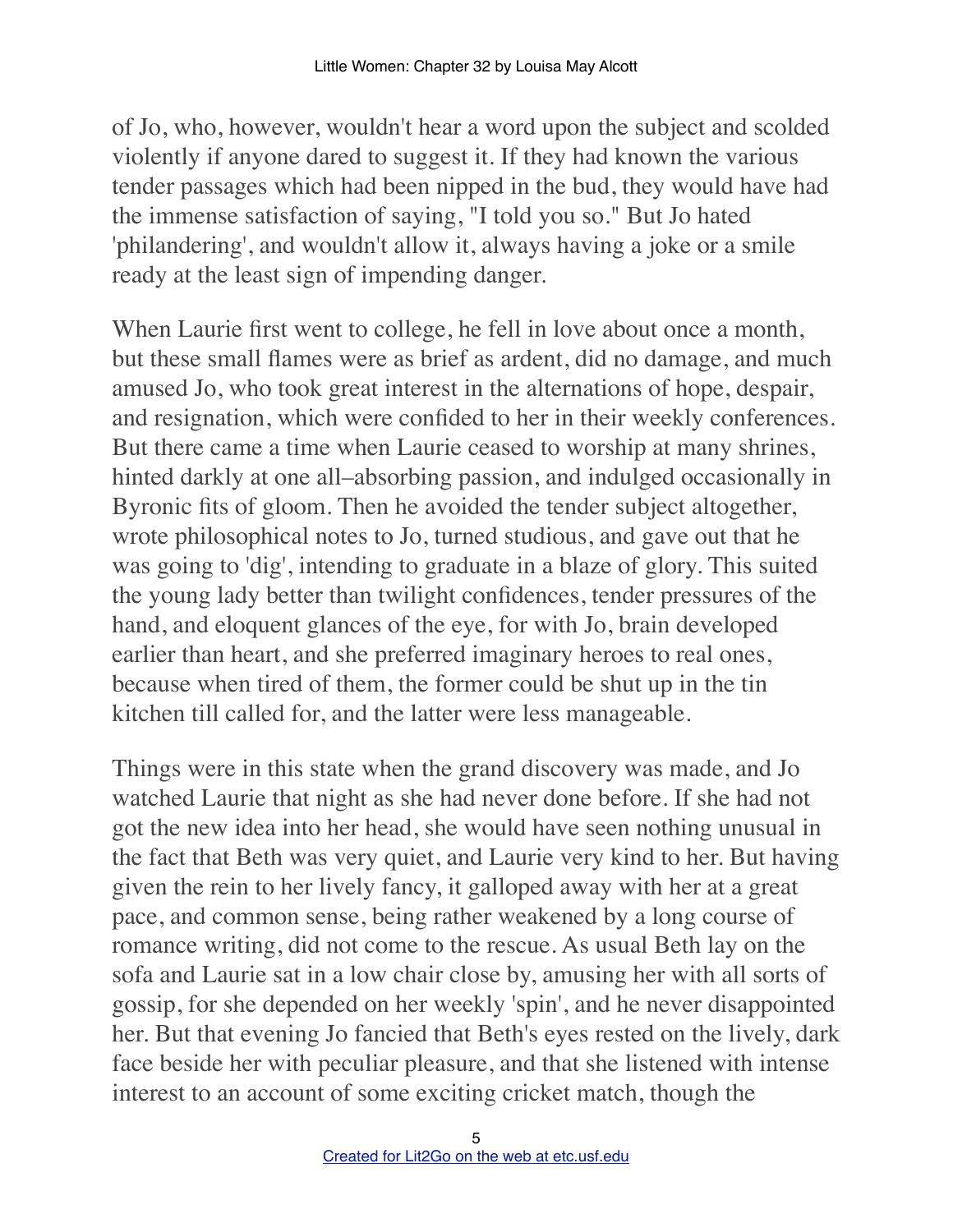of Jo, who, however, wouldn't hear a word upon the subject and scolded violently if anyone dared to suggest it. If they had known the various tender passages which had been nipped in the bud, they would have had the immense satisfaction of saying, "I told you so." But Jo hated 'philandering', and wouldn't allow it, always having a joke or a smile ready at the least sign of impending danger.

When Laurie first went to college, he fell in love about once a month, but these small flames were as brief as ardent, did no damage, and much amused Jo, who took great interest in the alternations of hope, despair, and resignation, which were confided to her in their weekly conferences. But there came a time when Laurie ceased to worship at many shrines, hinted darkly at one all–absorbing passion, and indulged occasionally in Byronic fits of gloom. Then he avoided the tender subject altogether, wrote philosophical notes to Jo, turned studious, and gave out that he was going to 'dig', intending to graduate in a blaze of glory. This suited the young lady better than twilight confidences, tender pressures of the hand, and eloquent glances of the eye, for with Jo, brain developed earlier than heart, and she preferred imaginary heroes to real ones, because when tired of them, the former could be shut up in the tin kitchen till called for, and the latter were less manageable.

Things were in this state when the grand discovery was made, and Jo watched Laurie that night as she had never done before. If she had not got the new idea into her head, she would have seen nothing unusual in the fact that Beth was very quiet, and Laurie very kind to her. But having given the rein to her lively fancy, it galloped away with her at a great pace, and common sense, being rather weakened by a long course of romance writing, did not come to the rescue. As usual Beth lay on the sofa and Laurie sat in a low chair close by, amusing her with all sorts of gossip, for she depended on her weekly 'spin', and he never disappointed her. But that evening Jo fancied that Beth's eyes rested on the lively, dark face beside her with peculiar pleasure, and that she listened with intense interest to an account of some exciting cricket match, though the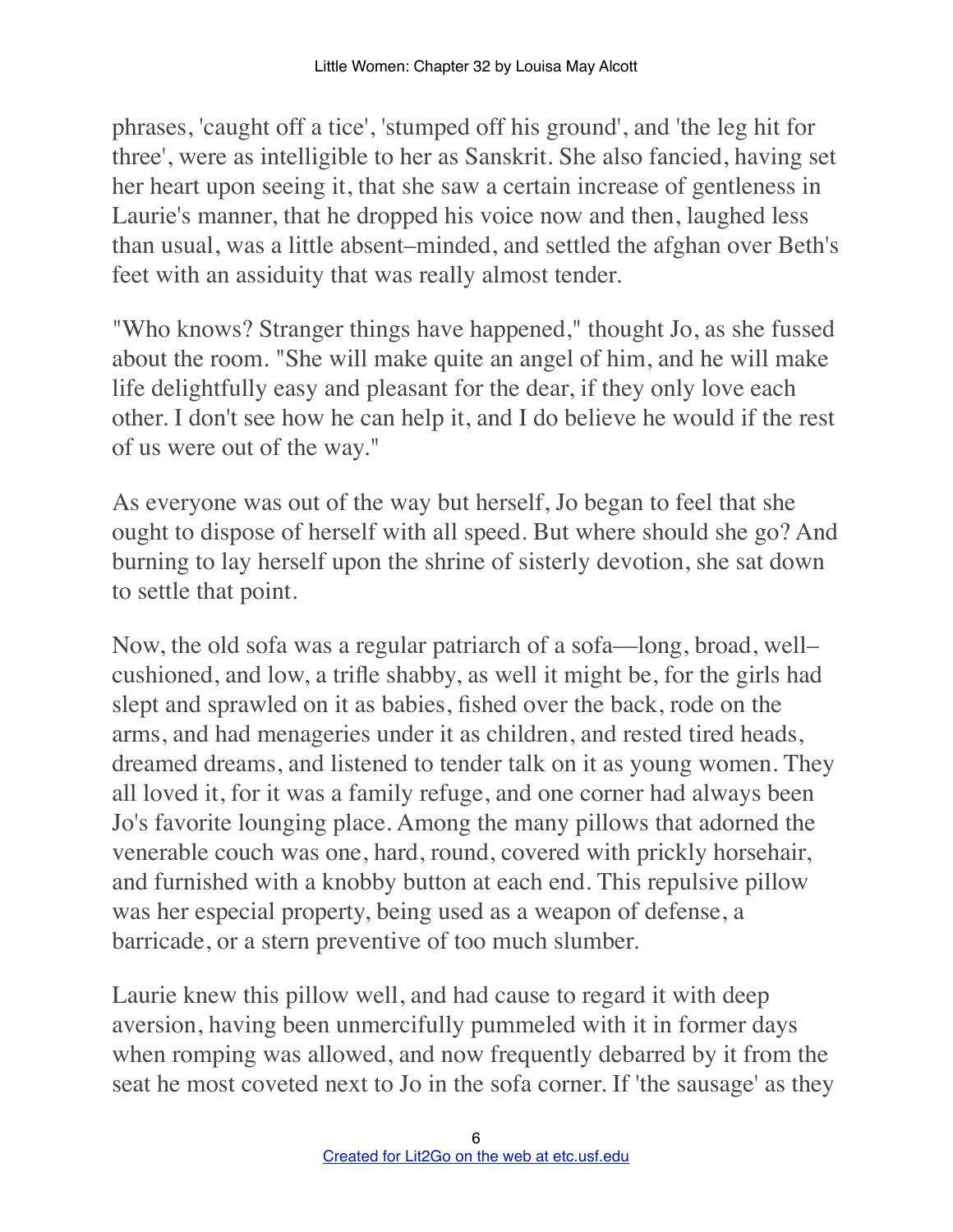phrases, 'caught off a tice', 'stumped off his ground', and 'the leg hit for three', were as intelligible to her as Sanskrit. She also fancied, having set her heart upon seeing it, that she saw a certain increase of gentleness in Laurie's manner, that he dropped his voice now and then, laughed less than usual, was a little absent–minded, and settled the afghan over Beth's feet with an assiduity that was really almost tender.

"Who knows? Stranger things have happened," thought Jo, as she fussed about the room. "She will make quite an angel of him, and he will make life delightfully easy and pleasant for the dear, if they only love each other. I don't see how he can help it, and I do believe he would if the rest of us were out of the way."

As everyone was out of the way but herself, Jo began to feel that she ought to dispose of herself with all speed. But where should she go? And burning to lay herself upon the shrine of sisterly devotion, she sat down to settle that point.

Now, the old sofa was a regular patriarch of a sofa––long, broad, well– cushioned, and low, a trifle shabby, as well it might be, for the girls had slept and sprawled on it as babies, fished over the back, rode on the arms, and had menageries under it as children, and rested tired heads, dreamed dreams, and listened to tender talk on it as young women. They all loved it, for it was a family refuge, and one corner had always been Jo's favorite lounging place. Among the many pillows that adorned the venerable couch was one, hard, round, covered with prickly horsehair, and furnished with a knobby button at each end. This repulsive pillow was her especial property, being used as a weapon of defense, a barricade, or a stern preventive of too much slumber.

Laurie knew this pillow well, and had cause to regard it with deep aversion, having been unmercifully pummeled with it in former days when romping was allowed, and now frequently debarred by it from the seat he most coveted next to Jo in the sofa corner. If 'the sausage' as they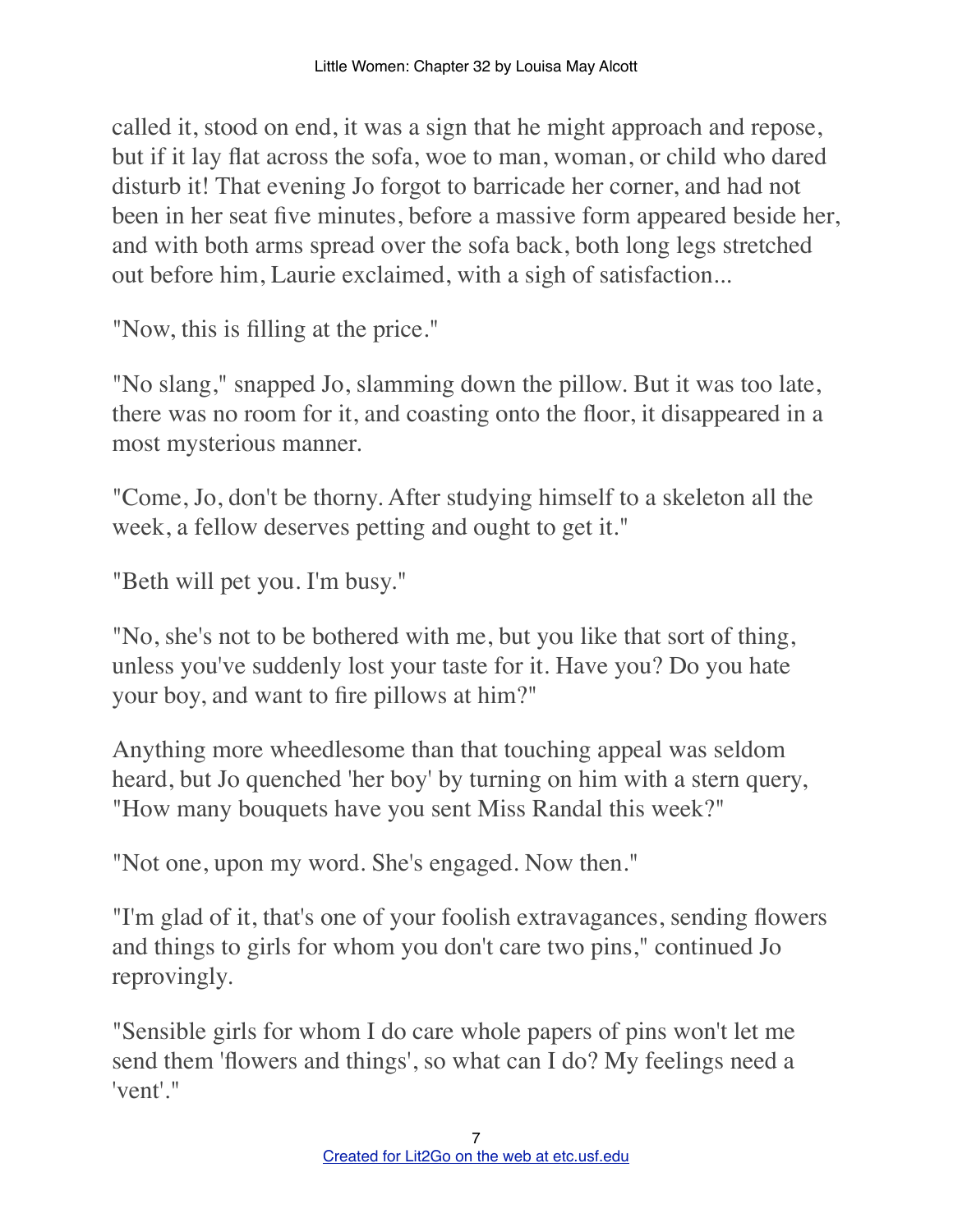called it, stood on end, it was a sign that he might approach and repose, but if it lay flat across the sofa, woe to man, woman, or child who dared disturb it! That evening Jo forgot to barricade her corner, and had not been in her seat five minutes, before a massive form appeared beside her, and with both arms spread over the sofa back, both long legs stretched out before him, Laurie exclaimed, with a sigh of satisfaction...

"Now, this is filling at the price."

"No slang," snapped Jo, slamming down the pillow. But it was too late, there was no room for it, and coasting onto the floor, it disappeared in a most mysterious manner.

"Come, Jo, don't be thorny. After studying himself to a skeleton all the week, a fellow deserves petting and ought to get it."

"Beth will pet you. I'm busy."

"No, she's not to be bothered with me, but you like that sort of thing, unless you've suddenly lost your taste for it. Have you? Do you hate your boy, and want to fire pillows at him?"

Anything more wheedlesome than that touching appeal was seldom heard, but Jo quenched 'her boy' by turning on him with a stern query, "How many bouquets have you sent Miss Randal this week?"

"Not one, upon my word. She's engaged. Now then."

"I'm glad of it, that's one of your foolish extravagances, sending flowers and things to girls for whom you don't care two pins," continued Jo reprovingly.

"Sensible girls for whom I do care whole papers of pins won't let me send them 'flowers and things', so what can I do? My feelings need a 'vent'."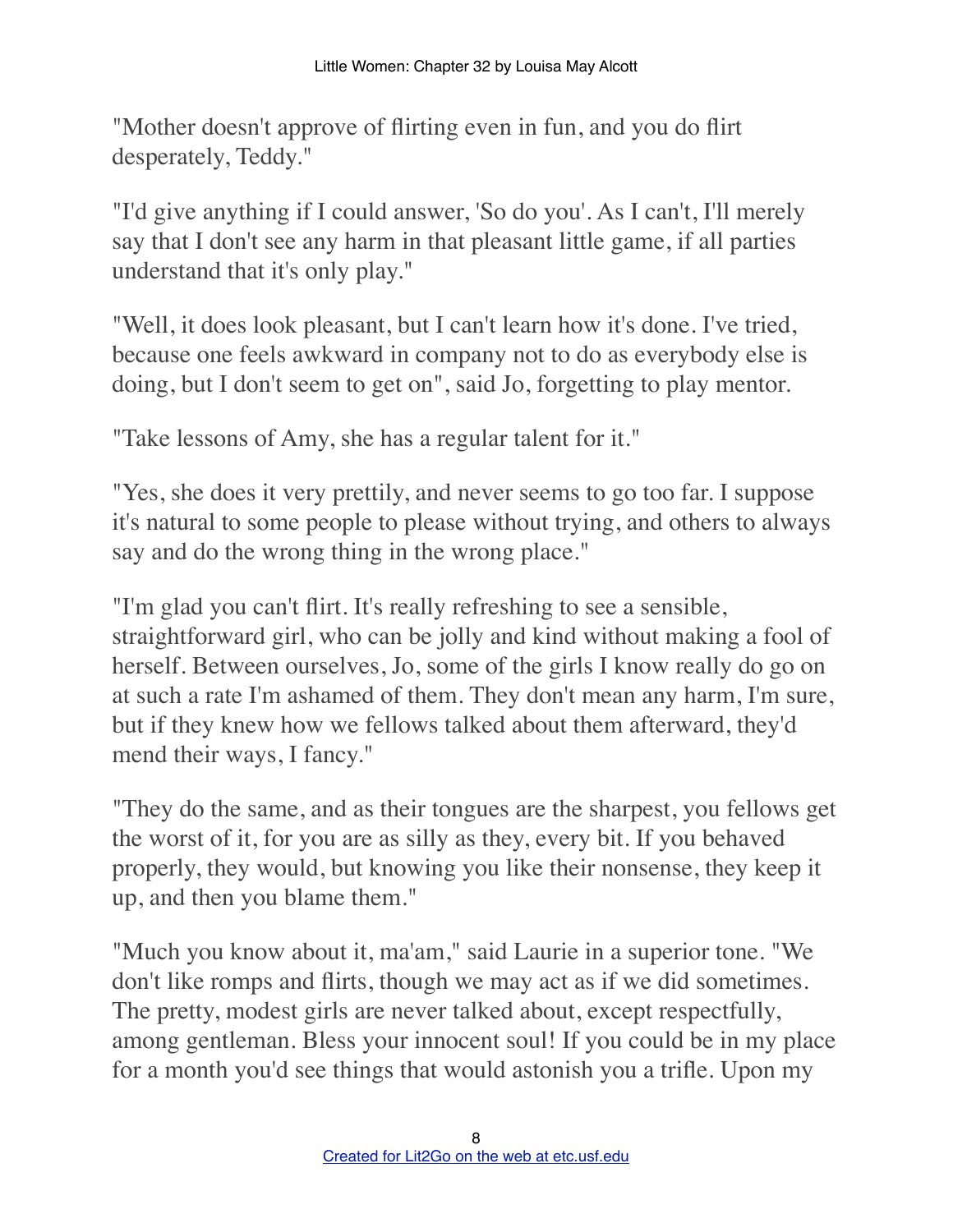"Mother doesn't approve of flirting even in fun, and you do flirt desperately, Teddy."

"I'd give anything if I could answer, 'So do you'. As I can't, I'll merely say that I don't see any harm in that pleasant little game, if all parties understand that it's only play."

"Well, it does look pleasant, but I can't learn how it's done. I've tried, because one feels awkward in company not to do as everybody else is doing, but I don't seem to get on", said Jo, forgetting to play mentor.

"Take lessons of Amy, she has a regular talent for it."

"Yes, she does it very prettily, and never seems to go too far. I suppose it's natural to some people to please without trying, and others to always say and do the wrong thing in the wrong place."

"I'm glad you can't flirt. It's really refreshing to see a sensible, straightforward girl, who can be jolly and kind without making a fool of herself. Between ourselves, Jo, some of the girls I know really do go on at such a rate I'm ashamed of them. They don't mean any harm, I'm sure, but if they knew how we fellows talked about them afterward, they'd mend their ways, I fancy."

"They do the same, and as their tongues are the sharpest, you fellows get the worst of it, for you are as silly as they, every bit. If you behaved properly, they would, but knowing you like their nonsense, they keep it up, and then you blame them."

"Much you know about it, ma'am," said Laurie in a superior tone. "We don't like romps and flirts, though we may act as if we did sometimes. The pretty, modest girls are never talked about, except respectfully, among gentleman. Bless your innocent soul! If you could be in my place for a month you'd see things that would astonish you a trifle. Upon my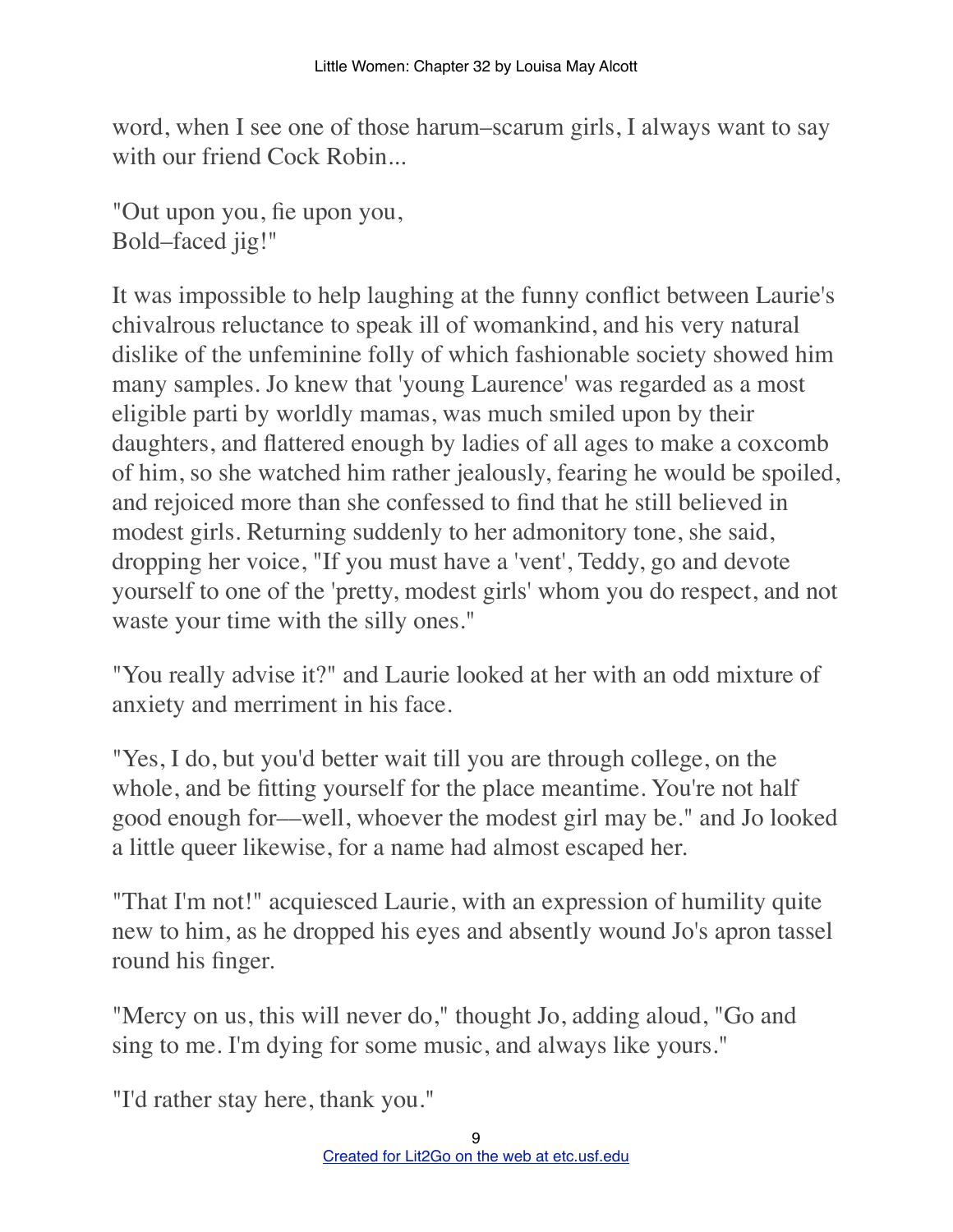word, when I see one of those harum–scarum girls, I always want to say with our friend Cock Robin...

"Out upon you, fie upon you, Bold–faced jig!"

It was impossible to help laughing at the funny conflict between Laurie's chivalrous reluctance to speak ill of womankind, and his very natural dislike of the unfeminine folly of which fashionable society showed him many samples. Jo knew that 'young Laurence' was regarded as a most eligible parti by worldly mamas, was much smiled upon by their daughters, and flattered enough by ladies of all ages to make a coxcomb of him, so she watched him rather jealously, fearing he would be spoiled, and rejoiced more than she confessed to find that he still believed in modest girls. Returning suddenly to her admonitory tone, she said, dropping her voice, "If you must have a 'vent', Teddy, go and devote yourself to one of the 'pretty, modest girls' whom you do respect, and not waste your time with the silly ones."

"You really advise it?" and Laurie looked at her with an odd mixture of anxiety and merriment in his face.

"Yes, I do, but you'd better wait till you are through college, on the whole, and be fitting yourself for the place meantime. You're not half good enough for––well, whoever the modest girl may be." and Jo looked a little queer likewise, for a name had almost escaped her.

"That I'm not!" acquiesced Laurie, with an expression of humility quite new to him, as he dropped his eyes and absently wound Jo's apron tassel round his finger.

"Mercy on us, this will never do," thought Jo, adding aloud, "Go and sing to me. I'm dying for some music, and always like yours."

"I'd rather stay here, thank you."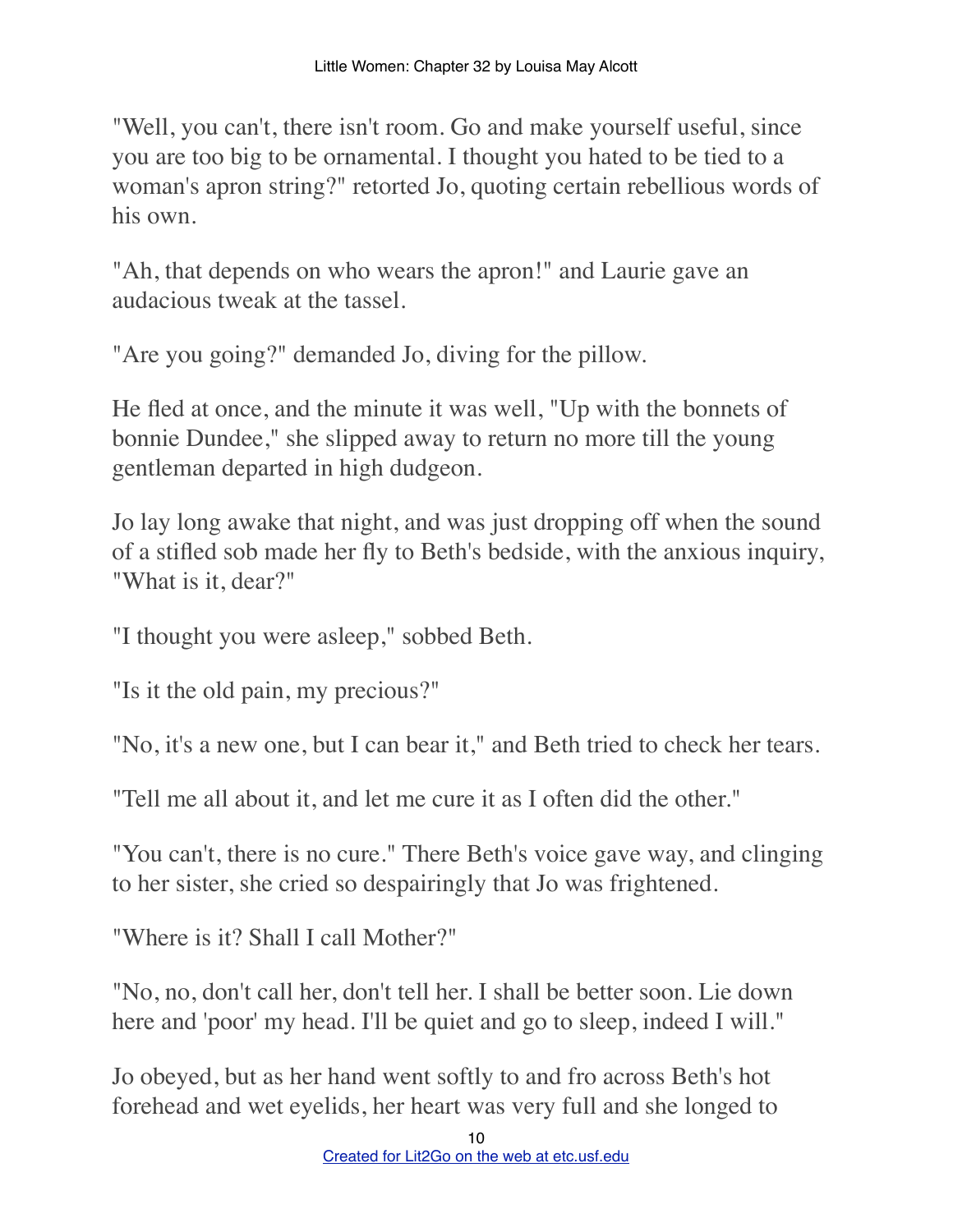"Well, you can't, there isn't room. Go and make yourself useful, since you are too big to be ornamental. I thought you hated to be tied to a woman's apron string?" retorted Jo, quoting certain rebellious words of his own.

"Ah, that depends on who wears the apron!" and Laurie gave an audacious tweak at the tassel.

"Are you going?" demanded Jo, diving for the pillow.

He fled at once, and the minute it was well, "Up with the bonnets of bonnie Dundee," she slipped away to return no more till the young gentleman departed in high dudgeon.

Jo lay long awake that night, and was just dropping off when the sound of a stifled sob made her fly to Beth's bedside, with the anxious inquiry, "What is it, dear?"

"I thought you were asleep," sobbed Beth.

"Is it the old pain, my precious?"

"No, it's a new one, but I can bear it," and Beth tried to check her tears.

"Tell me all about it, and let me cure it as I often did the other."

"You can't, there is no cure." There Beth's voice gave way, and clinging to her sister, she cried so despairingly that Jo was frightened.

"Where is it? Shall I call Mother?"

"No, no, don't call her, don't tell her. I shall be better soon. Lie down here and 'poor' my head. I'll be quiet and go to sleep, indeed I will."

Jo obeyed, but as her hand went softly to and fro across Beth's hot forehead and wet eyelids, her heart was very full and she longed to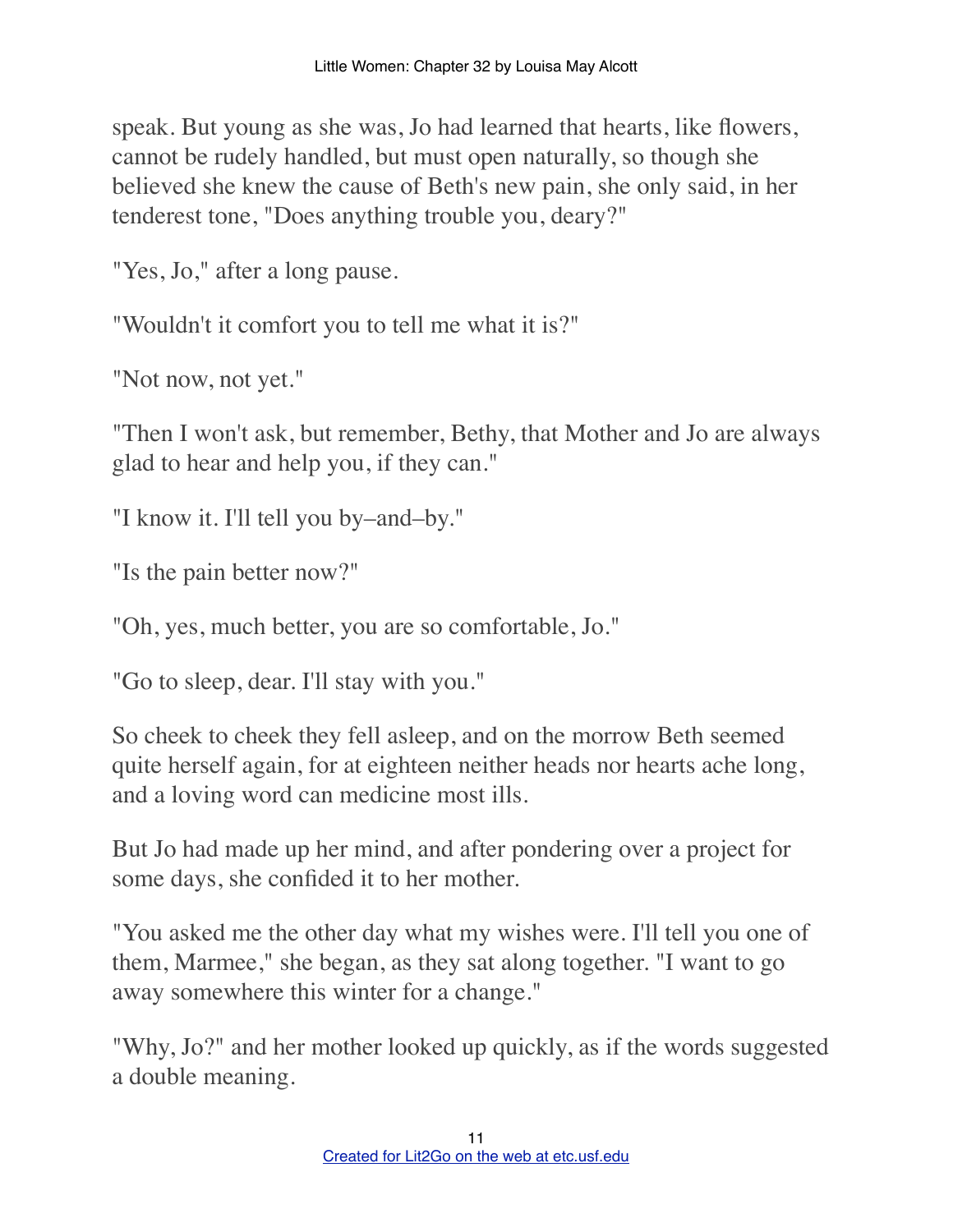speak. But young as she was, Jo had learned that hearts, like flowers, cannot be rudely handled, but must open naturally, so though she believed she knew the cause of Beth's new pain, she only said, in her tenderest tone, "Does anything trouble you, deary?"

"Yes, Jo," after a long pause.

"Wouldn't it comfort you to tell me what it is?"

"Not now, not yet."

"Then I won't ask, but remember, Bethy, that Mother and Jo are always glad to hear and help you, if they can."

"I know it. I'll tell you by–and–by."

"Is the pain better now?"

"Oh, yes, much better, you are so comfortable, Jo."

"Go to sleep, dear. I'll stay with you."

So cheek to cheek they fell asleep, and on the morrow Beth seemed quite herself again, for at eighteen neither heads nor hearts ache long, and a loving word can medicine most ills.

But Jo had made up her mind, and after pondering over a project for some days, she confided it to her mother.

"You asked me the other day what my wishes were. I'll tell you one of them, Marmee," she began, as they sat along together. "I want to go away somewhere this winter for a change."

"Why, Jo?" and her mother looked up quickly, as if the words suggested a double meaning.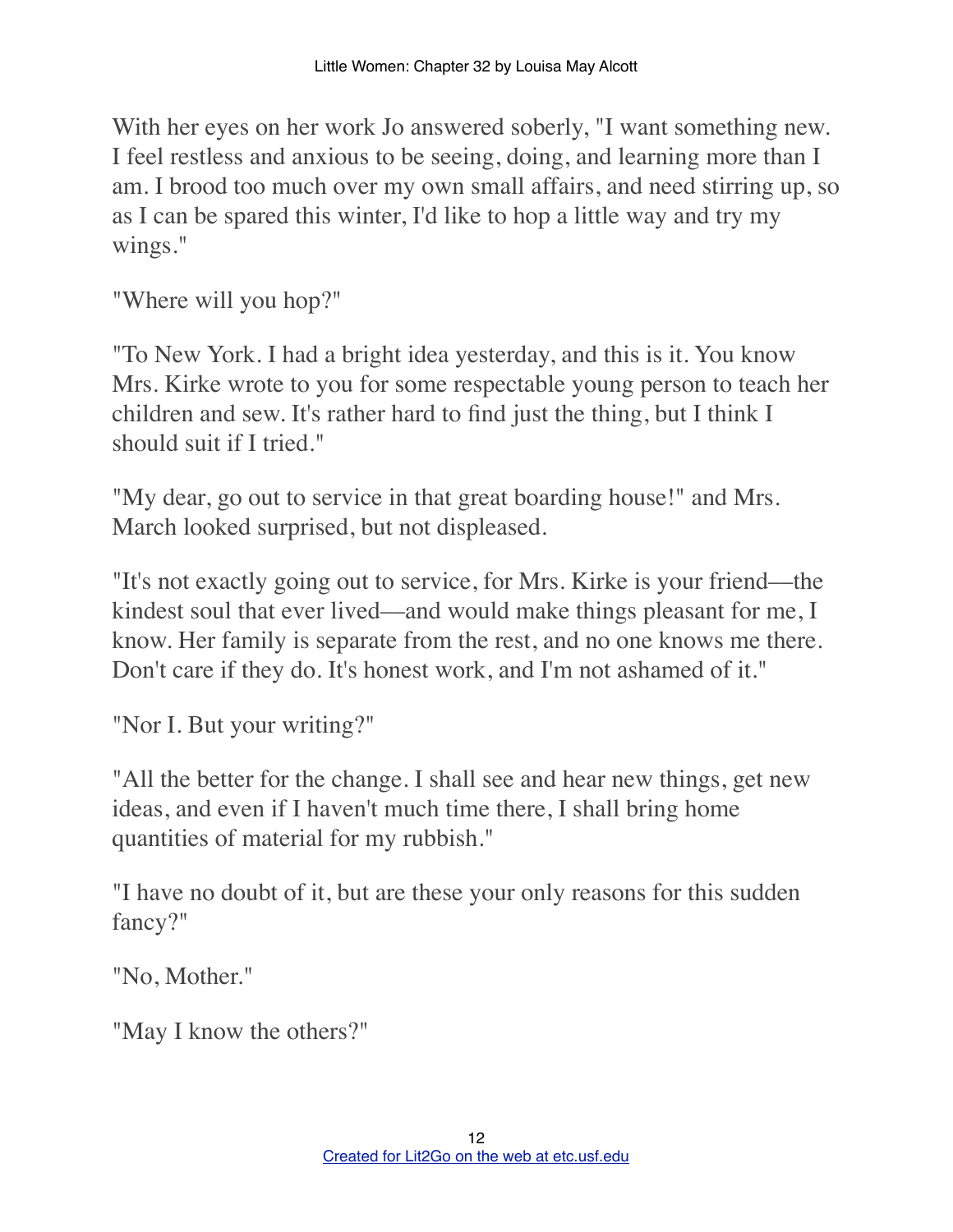With her eyes on her work Jo answered soberly, "I want something new. I feel restless and anxious to be seeing, doing, and learning more than I am. I brood too much over my own small affairs, and need stirring up, so as I can be spared this winter, I'd like to hop a little way and try my wings."

"Where will you hop?"

"To New York. I had a bright idea yesterday, and this is it. You know Mrs. Kirke wrote to you for some respectable young person to teach her children and sew. It's rather hard to find just the thing, but I think I should suit if I tried."

"My dear, go out to service in that great boarding house!" and Mrs. March looked surprised, but not displeased.

"It's not exactly going out to service, for Mrs. Kirke is your friend––the kindest soul that ever lived––and would make things pleasant for me, I know. Her family is separate from the rest, and no one knows me there. Don't care if they do. It's honest work, and I'm not ashamed of it."

"Nor I. But your writing?"

"All the better for the change. I shall see and hear new things, get new ideas, and even if I haven't much time there, I shall bring home quantities of material for my rubbish."

"I have no doubt of it, but are these your only reasons for this sudden fancy?"

"No, Mother."

"May I know the others?"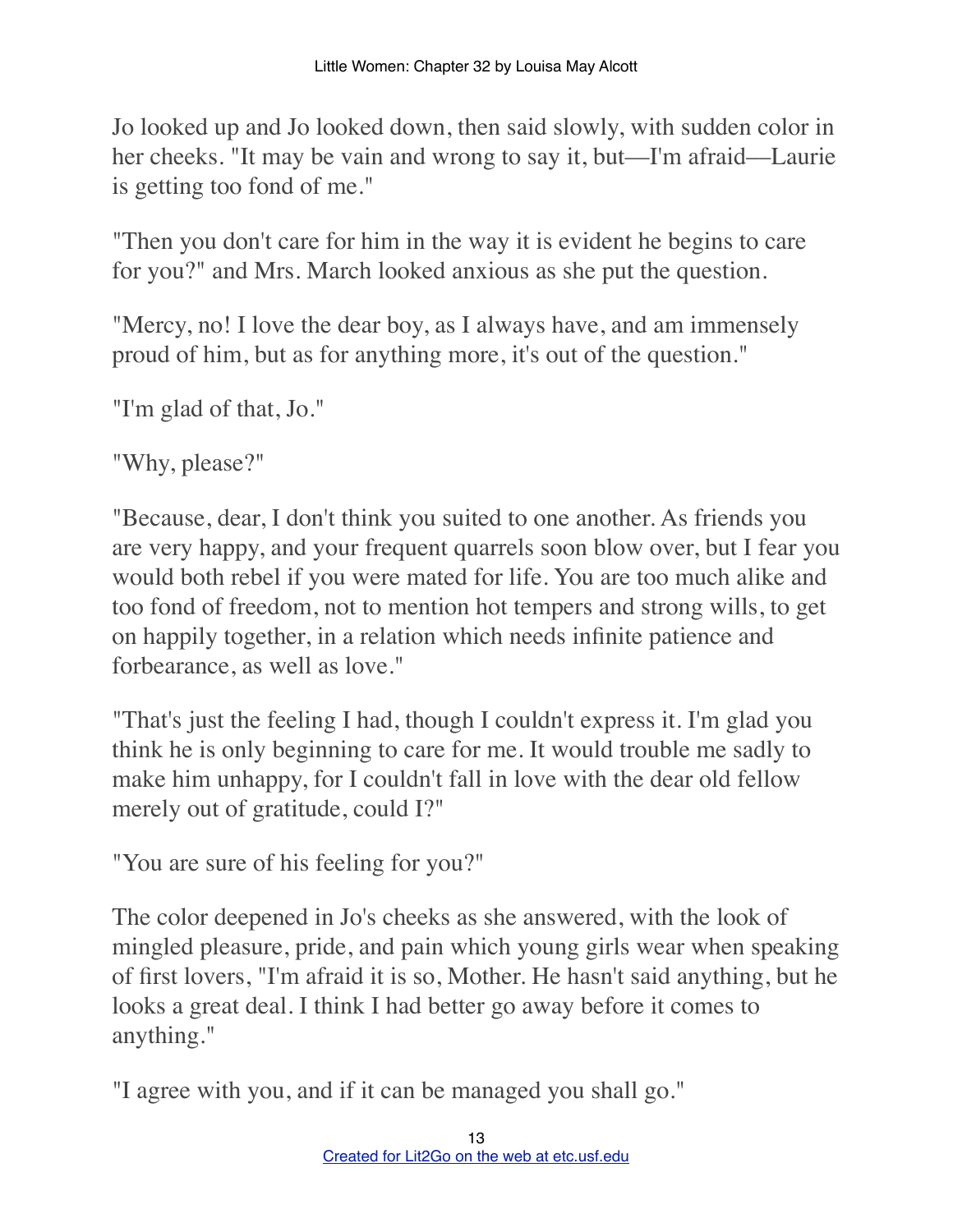Jo looked up and Jo looked down, then said slowly, with sudden color in her cheeks. "It may be vain and wrong to say it, but—I'm afraid—Laurie is getting too fond of me."

"Then you don't care for him in the way it is evident he begins to care for you?" and Mrs. March looked anxious as she put the question.

"Mercy, no! I love the dear boy, as I always have, and am immensely proud of him, but as for anything more, it's out of the question."

"I'm glad of that, Jo."

"Why, please?"

"Because, dear, I don't think you suited to one another. As friends you are very happy, and your frequent quarrels soon blow over, but I fear you would both rebel if you were mated for life. You are too much alike and too fond of freedom, not to mention hot tempers and strong wills, to get on happily together, in a relation which needs infinite patience and forbearance, as well as love."

"That's just the feeling I had, though I couldn't express it. I'm glad you think he is only beginning to care for me. It would trouble me sadly to make him unhappy, for I couldn't fall in love with the dear old fellow merely out of gratitude, could I?"

"You are sure of his feeling for you?"

The color deepened in Jo's cheeks as she answered, with the look of mingled pleasure, pride, and pain which young girls wear when speaking of first lovers, "I'm afraid it is so, Mother. He hasn't said anything, but he looks a great deal. I think I had better go away before it comes to anything."

"I agree with you, and if it can be managed you shall go."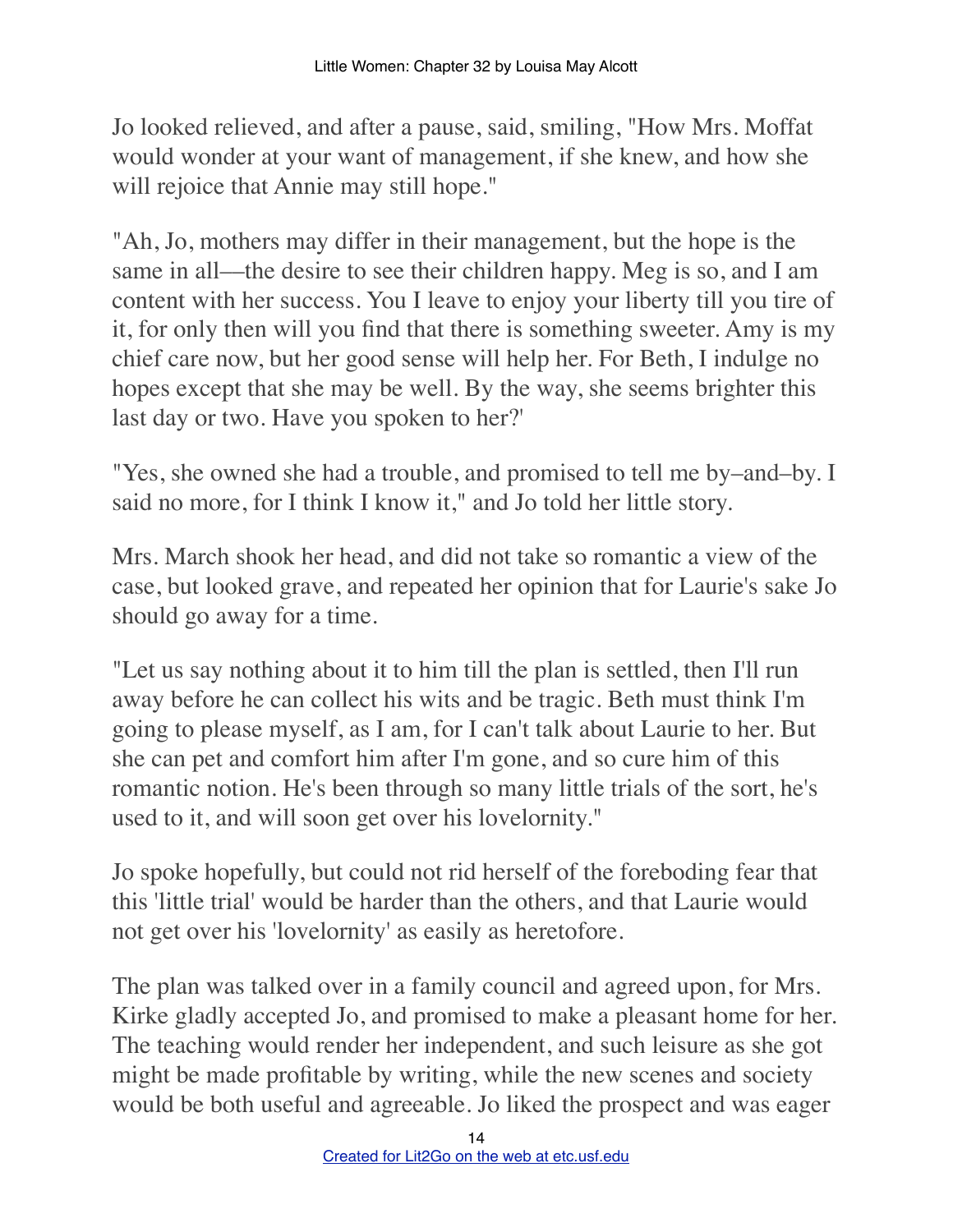Jo looked relieved, and after a pause, said, smiling, "How Mrs. Moffat would wonder at your want of management, if she knew, and how she will rejoice that Annie may still hope."

"Ah, Jo, mothers may differ in their management, but the hope is the same in all––the desire to see their children happy. Meg is so, and I am content with her success. You I leave to enjoy your liberty till you tire of it, for only then will you find that there is something sweeter. Amy is my chief care now, but her good sense will help her. For Beth, I indulge no hopes except that she may be well. By the way, she seems brighter this last day or two. Have you spoken to her?'

"Yes, she owned she had a trouble, and promised to tell me by–and–by. I said no more, for I think I know it," and Jo told her little story.

Mrs. March shook her head, and did not take so romantic a view of the case, but looked grave, and repeated her opinion that for Laurie's sake Jo should go away for a time.

"Let us say nothing about it to him till the plan is settled, then I'll run away before he can collect his wits and be tragic. Beth must think I'm going to please myself, as I am, for I can't talk about Laurie to her. But she can pet and comfort him after I'm gone, and so cure him of this romantic notion. He's been through so many little trials of the sort, he's used to it, and will soon get over his lovelornity."

Jo spoke hopefully, but could not rid herself of the foreboding fear that this 'little trial' would be harder than the others, and that Laurie would not get over his 'lovelornity' as easily as heretofore.

The plan was talked over in a family council and agreed upon, for Mrs. Kirke gladly accepted Jo, and promised to make a pleasant home for her. The teaching would render her independent, and such leisure as she got might be made profitable by writing, while the new scenes and society would be both useful and agreeable. Jo liked the prospect and was eager